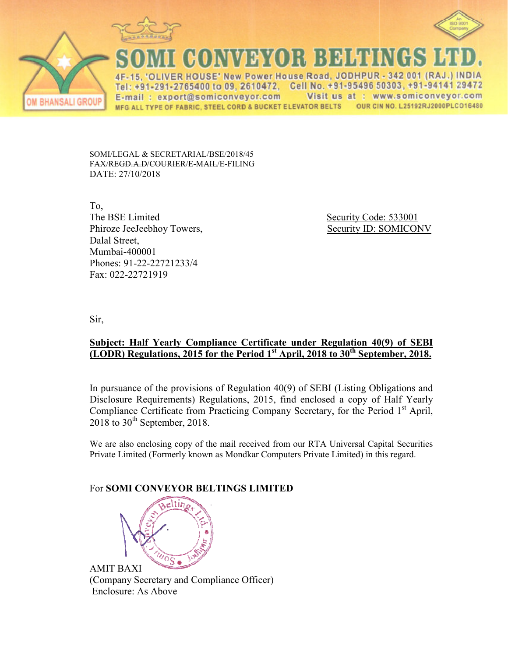



(HONNARYOR BEHEND

IVER HOUSE' New Power House Road, JODHPUR - 342 001 (RAJ.) INDIA Cell No. +91-95496 50303, +91-94141 29472 Tel: +91-291-2765400 to 09, 2610472, Visit us at : www.somiconveyor.com E-mail: export@somiconveyor.com MFG ALL TYPE OF FABRIC, STEEL CORD & BUCKET ELEVATOR BELTS OUR CIN NO. L25192RJ2000PLCO16480

SOMI/LEGAL & SECRETARIAL/BSE/2018/45 FAX/REGD.A.D/COURIER/E ER/E-MAIL/E-FILING DATE: 27/10/2018

To, The BSE Limited Phiroze JeeJeebhoy Towers, Dalal Street, Mumbai-400001 Phones: 91-22-22721233/4 1233/4Fax: 022-22721919

Security Code: 533001 Towers, Security ID: SOMICONV

Sir,

**BHANSALI GROUP** 

## **<u>Subject: Half Yearly Compliance Certificate under Regulation 40(9) of SEBI</u> (LODR)** Regulations, 2015 for the Period 1<sup>st</sup> April, 2018 to 30<sup>th</sup> September, 2018.

In pursuance of the provisions of Regulation 40(9) of SEBI (Listing Obligations and Disclosure Requirements) Regulations, 2015, find enclosed a copy of Half Yearly Compliance Certificate from Practicing Company Secretary, for the Period 1<sup>st</sup> April,  $2018$  to  $30<sup>th</sup>$  September, 2018.

We are also enclosing copy of the mail received from our RTA Universal Capital Securities Private Limited (Formerly known as Mondkar Computers Private Limited) in this regard.

## **For SOMI CONVEYOR BELTINGS LIMITED**



AMIT BAXI (Company Secretary and C Compliance Officer) Enclosure: As Above